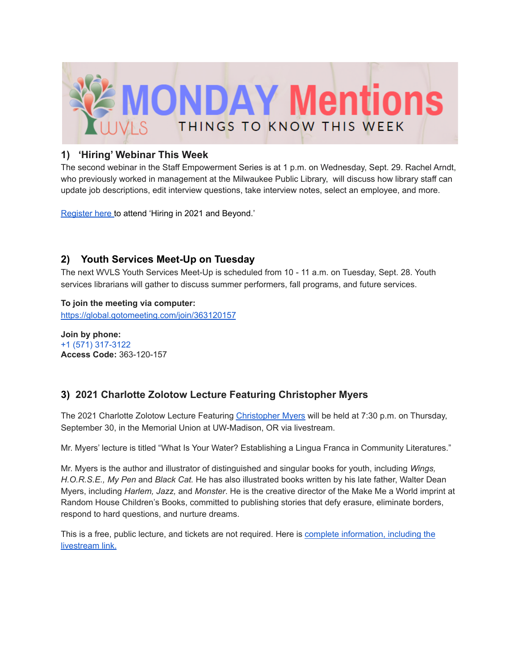

## **1) 'Hiring' Webinar This Week**

The second webinar in the Staff Empowerment Series is at 1 p.m. on Wednesday, Sept. 29. Rachel Arndt, who previously worked in management at the Milwaukee Public Library, will discuss how library staff can update job descriptions, edit interview questions, take interview notes, select an employee, and more.

[Register](https://us02web.zoom.us/webinar/register/WN_NYhnLjSPS7qfEhA1HsE9qA) here to attend 'Hiring in 2021 and Beyond.'

## **2) Youth Services Meet-Up on Tuesday**

The next WVLS Youth Services Meet-Up is scheduled from 10 - 11 a.m. on Tuesday, Sept. 28. Youth services librarians will gather to discuss summer performers, fall programs, and future services.

**To join the meeting via computer:** <https://global.gotomeeting.com/join/363120157>

**Join by phone:** +1 (571) 317-3122 **Access Code:** 363-120-157

# **3) 2021 Charlotte Zolotow Lecture Featuring Christopher Myers**

The 2021 Charlotte Zolotow Lecture Featuring [Christopher](https://www.kalyban.com/) Myers will be held at 7:30 p.m. on Thursday, September 30, in the Memorial Union at UW-Madison, OR via livestream.

Mr. Myers' lecture is titled "What Is Your Water? Establishing a Lingua Franca in Community Literatures."

Mr. Myers is the author and illustrator of distinguished and singular books for youth, including *Wings, H.O.R.S.E., My Pen* and *Black Cat.* He has also illustrated books written by his late father, Walter Dean Myers, including *Harlem, Jazz,* and *Monster*. He is the creative director of the Make Me a World imprint at Random House Children's Books, committed to publishing stories that defy erasure, eliminate borders, respond to hard questions, and nurture dreams.

This is a free, public lecture, and tickets are not required. Here is complete [information,](https://ccbc.education.wisc.edu/event/2021-zolotow-lecture/) including the [livestream](https://ccbc.education.wisc.edu/event/2021-zolotow-lecture/) link.